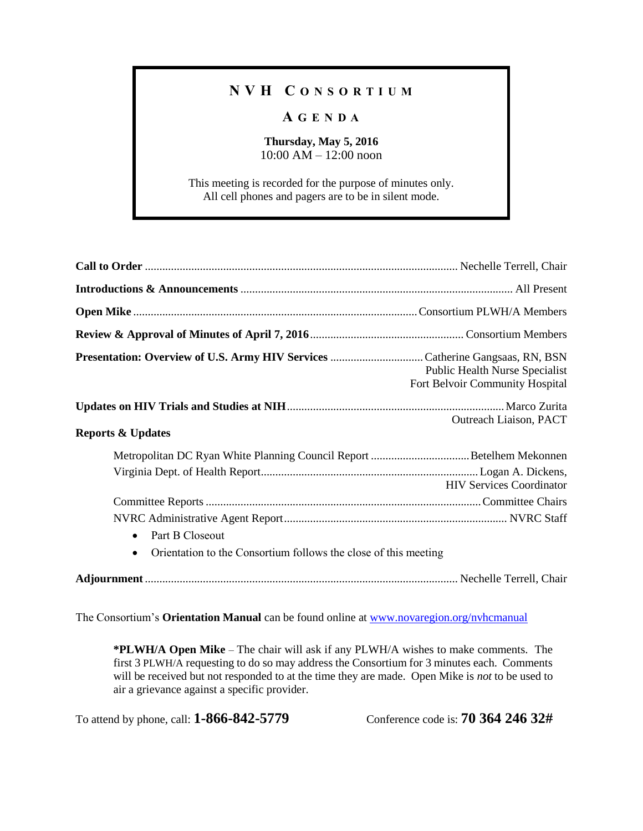## **N V H C O N S O R T I U M**

## **A G E N D A**

**Thursday, May 5, 2016** 10:00 AM – 12:00 noon

This meeting is recorded for the purpose of minutes only. All cell phones and pagers are to be in silent mode.

|                                                                              | Public Health Nurse Specialist<br>Fort Belvoir Community Hospital |
|------------------------------------------------------------------------------|-------------------------------------------------------------------|
|                                                                              | Outreach Liaison, PACT                                            |
| <b>Reports &amp; Updates</b>                                                 |                                                                   |
|                                                                              |                                                                   |
|                                                                              | <b>HIV Services Coordinator</b>                                   |
|                                                                              |                                                                   |
|                                                                              |                                                                   |
| Part B Closeout<br>$\bullet$                                                 |                                                                   |
| Orientation to the Consortium follows the close of this meeting<br>$\bullet$ |                                                                   |
|                                                                              |                                                                   |

The Consortium's **Orientation Manual** can be found online at [www.novaregion.org/nvhcmanual](http://www.novaregion.org/nvhcmanual)

**\*PLWH/A Open Mike** – The chair will ask if any PLWH/A wishes to make comments. The first 3 PLWH/A requesting to do so may address the Consortium for 3 minutes each. Comments will be received but not responded to at the time they are made. Open Mike is *not* to be used to air a grievance against a specific provider.

To attend by phone, call: **1-866-842-5779** Conference code is: **70 364 246 32#**